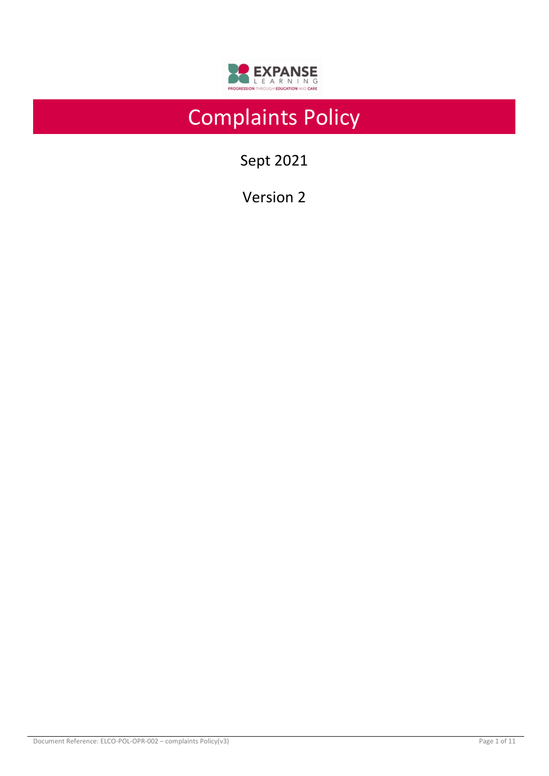

# Complaints Policy

Sept 2021

Version 2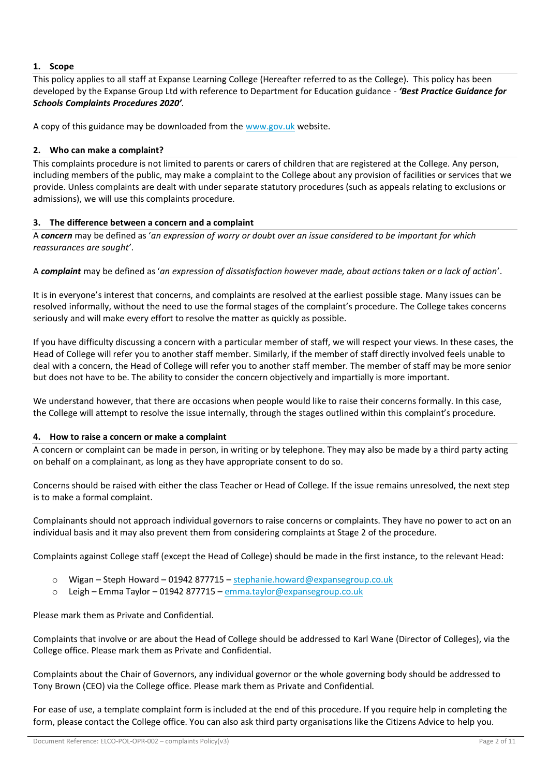# **1. Scope**

This policy applies to all staff at Expanse Learning College (Hereafter referred to as the College). This policy has been developed by the Expanse Group Ltd with reference to Department for Education guidance - *'Best Practice Guidance for Schools Complaints Procedures 2020'.*

A copy of this guidance may be downloaded from the [www.gov.uk](https://www.gov.uk/government/publications/school-complaints-procedures/best-practice-advice-for-school-complaints-procedures-2019) website.

# **2. Who can make a complaint?**

This complaints procedure is not limited to parents or carers of children that are registered at the College. Any person, including members of the public, may make a complaint to the College about any provision of facilities or services that we provide. Unless complaints are dealt with under separate statutory procedures (such as appeals relating to exclusions or admissions), we will use this complaints procedure.

# **3. The difference between a concern and a complaint**

A *concern* may be defined as '*an expression of worry or doubt over an issue considered to be important for which reassurances are sought'*.

A *complaint* may be defined as '*an expression of dissatisfaction however made, about actions taken or a lack of action*'.

It is in everyone's interest that concerns, and complaints are resolved at the earliest possible stage. Many issues can be resolved informally, without the need to use the formal stages of the complaint's procedure. The College takes concerns seriously and will make every effort to resolve the matter as quickly as possible.

If you have difficulty discussing a concern with a particular member of staff, we will respect your views. In these cases, the Head of College will refer you to another staff member. Similarly, if the member of staff directly involved feels unable to deal with a concern, the Head of College will refer you to another staff member. The member of staff may be more senior but does not have to be. The ability to consider the concern objectively and impartially is more important.

We understand however, that there are occasions when people would like to raise their concerns formally. In this case, the College will attempt to resolve the issue internally, through the stages outlined within this complaint's procedure.

## **4. How to raise a concern or make a complaint**

A concern or complaint can be made in person, in writing or by telephone. They may also be made by a third party acting on behalf on a complainant, as long as they have appropriate consent to do so.

Concerns should be raised with either the class Teacher or Head of College. If the issue remains unresolved, the next step is to make a formal complaint.

Complainants should not approach individual governors to raise concerns or complaints. They have no power to act on an individual basis and it may also prevent them from considering complaints at Stage 2 of the procedure.

Complaints against College staff (except the Head of College) should be made in the first instance, to the relevant Head:

- o Wigan Steph Howard 01942 877715 [stephanie.howard@expansegroup.co.uk](mailto:stephanie.howard@expansegroup.co.uk)
- o Leigh Emma Taylor 01942 877715 [emma.taylor@expansegroup.co.uk](mailto:emma.taylor@expansegroup.co.uk)

Please mark them as Private and Confidential.

Complaints that involve or are about the Head of College should be addressed to Karl Wane (Director of Colleges), via the College office. Please mark them as Private and Confidential.

Complaints about the Chair of Governors, any individual governor or the whole governing body should be addressed to Tony Brown (CEO) via the College office. Please mark them as Private and Confidential.

For ease of use, a template complaint form is included at the end of this procedure. If you require help in completing the form, please contact the College office. You can also ask third party organisations like the Citizens Advice to help you.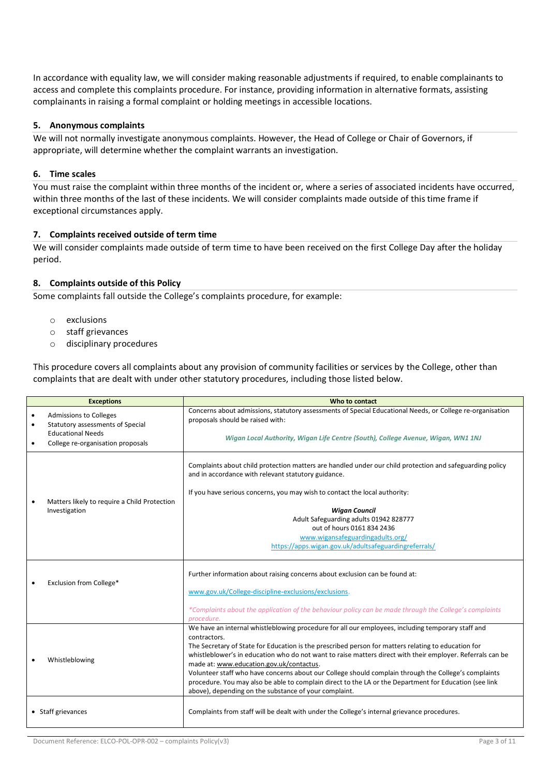In accordance with equality law, we will consider making reasonable adjustments if required, to enable complainants to access and complete this complaints procedure. For instance, providing information in alternative formats, assisting complainants in raising a formal complaint or holding meetings in accessible locations.

## **5. Anonymous complaints**

We will not normally investigate anonymous complaints. However, the Head of College or Chair of Governors, if appropriate, will determine whether the complaint warrants an investigation.

# **6. Time scales**

You must raise the complaint within three months of the incident or, where a series of associated incidents have occurred, within three months of the last of these incidents. We will consider complaints made outside of this time frame if exceptional circumstances apply.

# **7. Complaints received outside of term time**

We will consider complaints made outside of term time to have been received on the first College Day after the holiday period.

# **8. Complaints outside of this Policy**

Some complaints fall outside the College's complaints procedure, for example:

- o exclusions
- o staff grievances
- o disciplinary procedures

This procedure covers all complaints about any provision of community facilities or services by the College, other than complaints that are dealt with under other statutory procedures, including those listed below.

| <b>Exceptions</b>  |                                                                                               | Who to contact                                                                                                                                                                                                                                                                                                                                                                                                                                                                                                                                                                                                                                                |  |  |
|--------------------|-----------------------------------------------------------------------------------------------|---------------------------------------------------------------------------------------------------------------------------------------------------------------------------------------------------------------------------------------------------------------------------------------------------------------------------------------------------------------------------------------------------------------------------------------------------------------------------------------------------------------------------------------------------------------------------------------------------------------------------------------------------------------|--|--|
| $\bullet$          | <b>Admissions to Colleges</b><br>Statutory assessments of Special<br><b>Educational Needs</b> | Concerns about admissions, statutory assessments of Special Educational Needs, or College re-organisation<br>proposals should be raised with:                                                                                                                                                                                                                                                                                                                                                                                                                                                                                                                 |  |  |
|                    | College re-organisation proposals                                                             | Wigan Local Authority, Wigan Life Centre (South), College Avenue, Wigan, WN1 1NJ                                                                                                                                                                                                                                                                                                                                                                                                                                                                                                                                                                              |  |  |
|                    | Matters likely to require a Child Protection<br>Investigation                                 | Complaints about child protection matters are handled under our child protection and safeguarding policy<br>and in accordance with relevant statutory guidance.                                                                                                                                                                                                                                                                                                                                                                                                                                                                                               |  |  |
|                    |                                                                                               | If you have serious concerns, you may wish to contact the local authority:                                                                                                                                                                                                                                                                                                                                                                                                                                                                                                                                                                                    |  |  |
|                    |                                                                                               | <b>Wigan Council</b>                                                                                                                                                                                                                                                                                                                                                                                                                                                                                                                                                                                                                                          |  |  |
|                    |                                                                                               | Adult Safeguarding adults 01942 828777                                                                                                                                                                                                                                                                                                                                                                                                                                                                                                                                                                                                                        |  |  |
|                    |                                                                                               | out of hours 0161 834 2436                                                                                                                                                                                                                                                                                                                                                                                                                                                                                                                                                                                                                                    |  |  |
|                    |                                                                                               | www.wigansafeguardingadults.org/                                                                                                                                                                                                                                                                                                                                                                                                                                                                                                                                                                                                                              |  |  |
|                    |                                                                                               | https://apps.wigan.gov.uk/adultsafeguardingreferrals/                                                                                                                                                                                                                                                                                                                                                                                                                                                                                                                                                                                                         |  |  |
|                    | Exclusion from College*                                                                       | Further information about raising concerns about exclusion can be found at:<br>www.gov.uk/College-discipline-exclusions/exclusions.                                                                                                                                                                                                                                                                                                                                                                                                                                                                                                                           |  |  |
|                    |                                                                                               | *Complaints about the application of the behaviour policy can be made through the College's complaints<br>procedure.                                                                                                                                                                                                                                                                                                                                                                                                                                                                                                                                          |  |  |
|                    | Whistleblowing                                                                                | We have an internal whistleblowing procedure for all our employees, including temporary staff and<br>contractors.<br>The Secretary of State for Education is the prescribed person for matters relating to education for<br>whistleblower's in education who do not want to raise matters direct with their employer. Referrals can be<br>made at: www.education.gov.uk/contactus.<br>Volunteer staff who have concerns about our College should complain through the College's complaints<br>procedure. You may also be able to complain direct to the LA or the Department for Education (see link<br>above), depending on the substance of your complaint. |  |  |
| • Staff grievances |                                                                                               | Complaints from staff will be dealt with under the College's internal grievance procedures.                                                                                                                                                                                                                                                                                                                                                                                                                                                                                                                                                                   |  |  |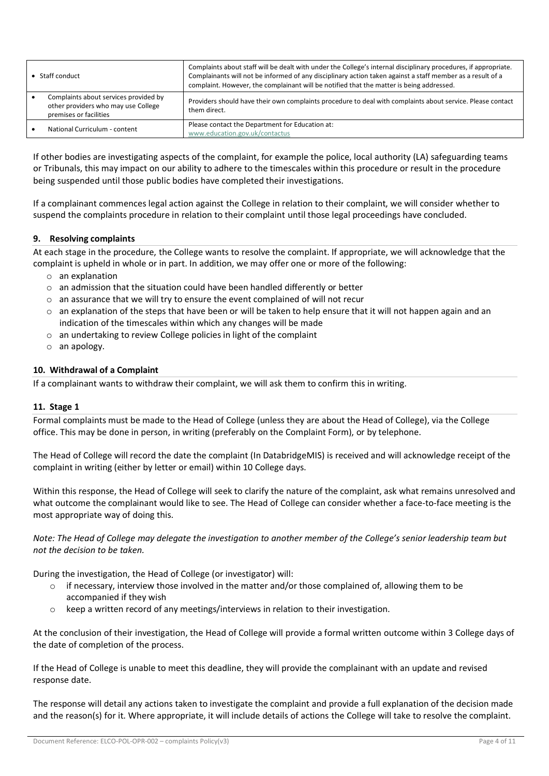| $\bullet$ Staff conduct |                                                                                                        | Complaints about staff will be dealt with under the College's internal disciplinary procedures, if appropriate.<br>Complainants will not be informed of any disciplinary action taken against a staff member as a result of a<br>complaint. However, the complainant will be notified that the matter is being addressed. |  |  |
|-------------------------|--------------------------------------------------------------------------------------------------------|---------------------------------------------------------------------------------------------------------------------------------------------------------------------------------------------------------------------------------------------------------------------------------------------------------------------------|--|--|
|                         | Complaints about services provided by<br>other providers who may use College<br>premises or facilities | Providers should have their own complaints procedure to deal with complaints about service. Please contact<br>them direct.                                                                                                                                                                                                |  |  |
|                         | National Curriculum - content                                                                          | Please contact the Department for Education at:<br>www.education.gov.uk/contactus                                                                                                                                                                                                                                         |  |  |

If other bodies are investigating aspects of the complaint, for example the police, local authority (LA) safeguarding teams or Tribunals, this may impact on our ability to adhere to the timescales within this procedure or result in the procedure being suspended until those public bodies have completed their investigations.

If a complainant commences legal action against the College in relation to their complaint, we will consider whether to suspend the complaints procedure in relation to their complaint until those legal proceedings have concluded.

# **9. Resolving complaints**

At each stage in the procedure, the College wants to resolve the complaint. If appropriate, we will acknowledge that the complaint is upheld in whole or in part. In addition, we may offer one or more of the following:

- o an explanation
- o an admission that the situation could have been handled differently or better
- o an assurance that we will try to ensure the event complained of will not recur
- $\circ$  an explanation of the steps that have been or will be taken to help ensure that it will not happen again and an indication of the timescales within which any changes will be made
- o an undertaking to review College policies in light of the complaint
- o an apology.

# **10. Withdrawal of a Complaint**

If a complainant wants to withdraw their complaint, we will ask them to confirm this in writing.

# **11. Stage 1**

Formal complaints must be made to the Head of College (unless they are about the Head of College), via the College office. This may be done in person, in writing (preferably on the Complaint Form), or by telephone.

The Head of College will record the date the complaint (In DatabridgeMIS) is received and will acknowledge receipt of the complaint in writing (either by letter or email) within 10 College days.

Within this response, the Head of College will seek to clarify the nature of the complaint, ask what remains unresolved and what outcome the complainant would like to see. The Head of College can consider whether a face-to-face meeting is the most appropriate way of doing this.

*Note: The Head of College may delegate the investigation to another member of the College's senior leadership team but not the decision to be taken.*

During the investigation, the Head of College (or investigator) will:

- $\circ$  if necessary, interview those involved in the matter and/or those complained of, allowing them to be accompanied if they wish
- o keep a written record of any meetings/interviews in relation to their investigation.

At the conclusion of their investigation, the Head of College will provide a formal written outcome within 3 College days of the date of completion of the process.

If the Head of College is unable to meet this deadline, they will provide the complainant with an update and revised response date.

The response will detail any actions taken to investigate the complaint and provide a full explanation of the decision made and the reason(s) for it. Where appropriate, it will include details of actions the College will take to resolve the complaint.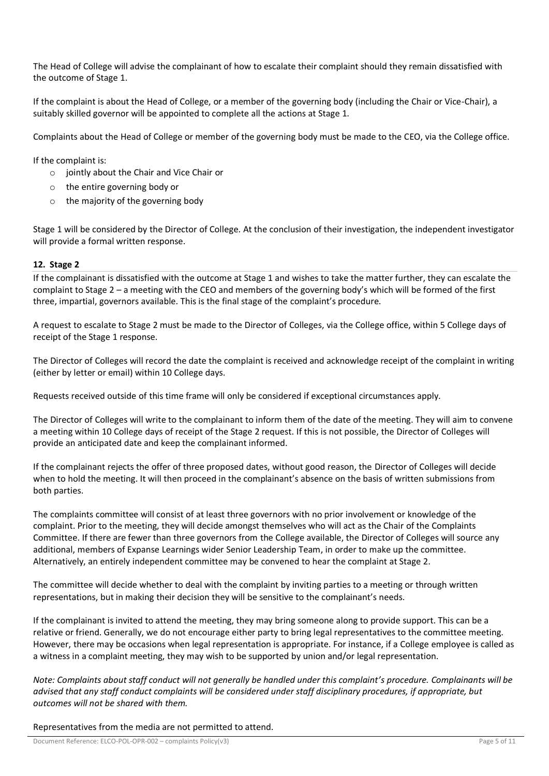The Head of College will advise the complainant of how to escalate their complaint should they remain dissatisfied with the outcome of Stage 1.

If the complaint is about the Head of College, or a member of the governing body (including the Chair or Vice-Chair), a suitably skilled governor will be appointed to complete all the actions at Stage 1.

Complaints about the Head of College or member of the governing body must be made to the CEO, via the College office.

If the complaint is:

- $\circ$  jointly about the Chair and Vice Chair or
- o the entire governing body or
- $\circ$  the majority of the governing body

Stage 1 will be considered by the Director of College. At the conclusion of their investigation, the independent investigator will provide a formal written response.

## **12. Stage 2**

If the complainant is dissatisfied with the outcome at Stage 1 and wishes to take the matter further, they can escalate the complaint to Stage 2 – a meeting with the CEO and members of the governing body's which will be formed of the first three, impartial, governors available. This is the final stage of the complaint's procedure.

A request to escalate to Stage 2 must be made to the Director of Colleges, via the College office, within 5 College days of receipt of the Stage 1 response.

The Director of Colleges will record the date the complaint is received and acknowledge receipt of the complaint in writing (either by letter or email) within 10 College days.

Requests received outside of this time frame will only be considered if exceptional circumstances apply.

The Director of Colleges will write to the complainant to inform them of the date of the meeting. They will aim to convene a meeting within 10 College days of receipt of the Stage 2 request. If this is not possible, the Director of Colleges will provide an anticipated date and keep the complainant informed.

If the complainant rejects the offer of three proposed dates, without good reason, the Director of Colleges will decide when to hold the meeting. It will then proceed in the complainant's absence on the basis of written submissions from both parties.

The complaints committee will consist of at least three governors with no prior involvement or knowledge of the complaint. Prior to the meeting, they will decide amongst themselves who will act as the Chair of the Complaints Committee. If there are fewer than three governors from the College available, the Director of Colleges will source any additional, members of Expanse Learnings wider Senior Leadership Team, in order to make up the committee. Alternatively, an entirely independent committee may be convened to hear the complaint at Stage 2.

The committee will decide whether to deal with the complaint by inviting parties to a meeting or through written representations, but in making their decision they will be sensitive to the complainant's needs.

If the complainant is invited to attend the meeting, they may bring someone along to provide support. This can be a relative or friend. Generally, we do not encourage either party to bring legal representatives to the committee meeting. However, there may be occasions when legal representation is appropriate. For instance, if a College employee is called as a witness in a complaint meeting, they may wish to be supported by union and/or legal representation.

*Note: Complaints about staff conduct will not generally be handled under this complaint's procedure. Complainants will be advised that any staff conduct complaints will be considered under staff disciplinary procedures, if appropriate, but outcomes will not be shared with them.* 

Representatives from the media are not permitted to attend.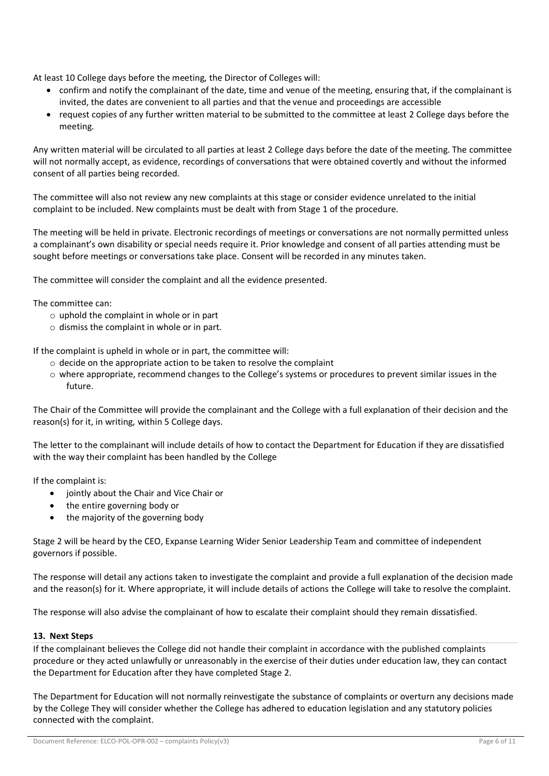At least 10 College days before the meeting, the Director of Colleges will:

- confirm and notify the complainant of the date, time and venue of the meeting, ensuring that, if the complainant is invited, the dates are convenient to all parties and that the venue and proceedings are accessible
- request copies of any further written material to be submitted to the committee at least 2 College days before the meeting.

Any written material will be circulated to all parties at least 2 College days before the date of the meeting. The committee will not normally accept, as evidence, recordings of conversations that were obtained covertly and without the informed consent of all parties being recorded.

The committee will also not review any new complaints at this stage or consider evidence unrelated to the initial complaint to be included. New complaints must be dealt with from Stage 1 of the procedure.

The meeting will be held in private. Electronic recordings of meetings or conversations are not normally permitted unless a complainant's own disability or special needs require it. Prior knowledge and consent of all parties attending must be sought before meetings or conversations take place. Consent will be recorded in any minutes taken.

The committee will consider the complaint and all the evidence presented.

The committee can:

- $\circ$  uphold the complaint in whole or in part
- o dismiss the complaint in whole or in part.

If the complaint is upheld in whole or in part, the committee will:

- o decide on the appropriate action to be taken to resolve the complaint
- $\circ$  where appropriate, recommend changes to the College's systems or procedures to prevent similar issues in the future.

The Chair of the Committee will provide the complainant and the College with a full explanation of their decision and the reason(s) for it, in writing, within 5 College days.

The letter to the complainant will include details of how to contact the Department for Education if they are dissatisfied with the way their complaint has been handled by the College

If the complaint is:

- jointly about the Chair and Vice Chair or
- the entire governing body or
- the majority of the governing body

Stage 2 will be heard by the CEO, Expanse Learning Wider Senior Leadership Team and committee of independent governors if possible.

The response will detail any actions taken to investigate the complaint and provide a full explanation of the decision made and the reason(s) for it. Where appropriate, it will include details of actions the College will take to resolve the complaint.

The response will also advise the complainant of how to escalate their complaint should they remain dissatisfied.

## **13. Next Steps**

If the complainant believes the College did not handle their complaint in accordance with the published complaints procedure or they acted unlawfully or unreasonably in the exercise of their duties under education law, they can contact the Department for Education after they have completed Stage 2.

The Department for Education will not normally reinvestigate the substance of complaints or overturn any decisions made by the College They will consider whether the College has adhered to education legislation and any statutory policies connected with the complaint.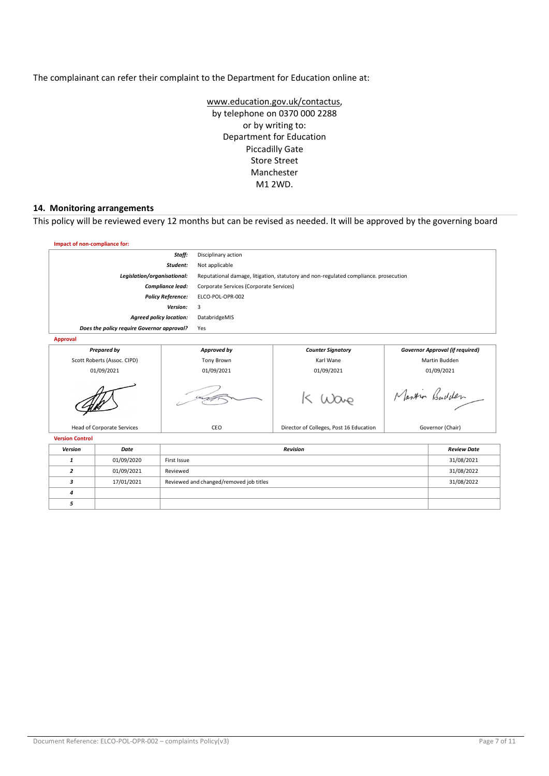The complainant can refer their complaint to the Department for Education online at:

[www.education.gov.uk/contactus,](http://www.education.gov.uk/contactus) by telephone on 0370 000 2288 or by writing to: Department for Education Piccadilly Gate Store Street Manchester M1 2WD.

#### **14. Monitoring arrangements**

This policy will be reviewed every 12 months but can be revised as needed. It will be approved by the governing board

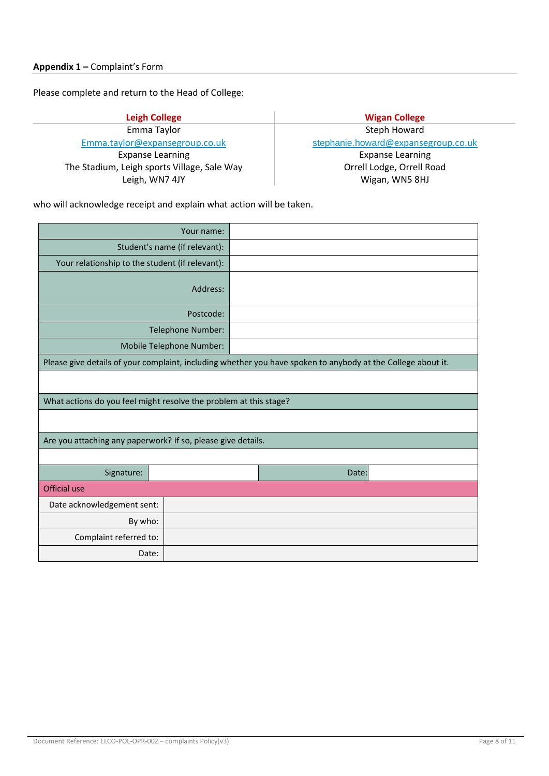Please complete and return to the Head of College:

**Leigh College Wigan College** Emma Taylor [Emma.taylor@expansegroup.co.uk](mailto:Emma.taylor@expansegroup.co.uk) Expanse Learning The Stadium, Leigh sports Village, Sale Way Leigh, WN7 4JY

Steph Howard [stephanie.howard](mailto:stephanie.howard@expansegroup.co.uk)[@expansegroup.co.uk](mailto:stephanie.howard@expansegroup.co.uk) Expanse Learning Orrell Lodge, Orrell Road Wigan, WN5 8HJ

who will acknowledge receipt and explain what action will be taken.

|                                                                                                              | Your name: |  |       |  |  |  |
|--------------------------------------------------------------------------------------------------------------|------------|--|-------|--|--|--|
| Student's name (if relevant):                                                                                |            |  |       |  |  |  |
| Your relationship to the student (if relevant):                                                              |            |  |       |  |  |  |
| Address:                                                                                                     |            |  |       |  |  |  |
| Postcode:                                                                                                    |            |  |       |  |  |  |
| Telephone Number:                                                                                            |            |  |       |  |  |  |
| Mobile Telephone Number:                                                                                     |            |  |       |  |  |  |
| Please give details of your complaint, including whether you have spoken to anybody at the College about it. |            |  |       |  |  |  |
|                                                                                                              |            |  |       |  |  |  |
| What actions do you feel might resolve the problem at this stage?                                            |            |  |       |  |  |  |
|                                                                                                              |            |  |       |  |  |  |
| Are you attaching any paperwork? If so, please give details.                                                 |            |  |       |  |  |  |
|                                                                                                              |            |  |       |  |  |  |
| Signature:                                                                                                   |            |  | Date: |  |  |  |
| Official use                                                                                                 |            |  |       |  |  |  |
| Date acknowledgement sent:                                                                                   |            |  |       |  |  |  |
| By who:                                                                                                      |            |  |       |  |  |  |
| Complaint referred to:                                                                                       |            |  |       |  |  |  |
| Date:                                                                                                        |            |  |       |  |  |  |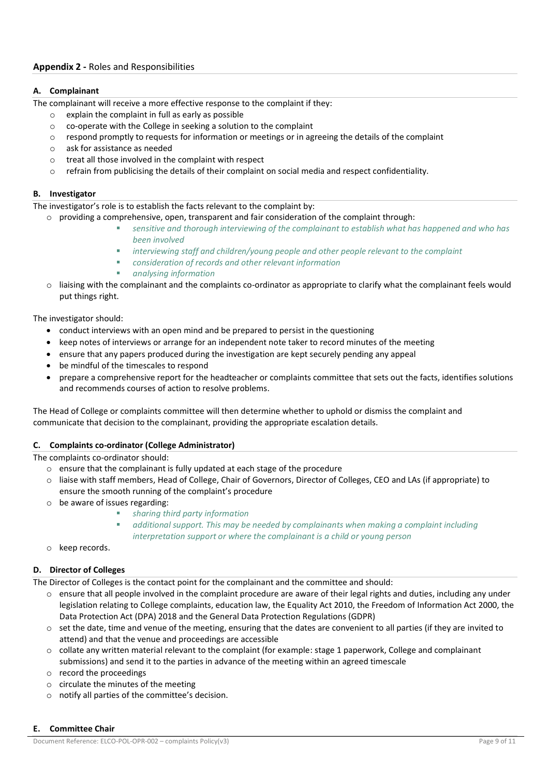# **A. Complainant**

The complainant will receive a more effective response to the complaint if they:

- o explain the complaint in full as early as possible
- o co-operate with the College in seeking a solution to the complaint
- $\circ$  respond promptly to requests for information or meetings or in agreeing the details of the complaint
- o ask for assistance as needed
- o treat all those involved in the complaint with respect
- $\circ$  refrain from publicising the details of their complaint on social media and respect confidentiality.

## **B. Investigator**

The investigator's role is to establish the facts relevant to the complaint by:

- $\circ$  providing a comprehensive, open, transparent and fair consideration of the complaint through:
	- sensitive and thorough interviewing of the complainant to establish what has happened and who has *been involved*
	- interviewing staff and children/young people and other people relevant to the complaint
	- *consideration of records and other relevant information*
	- *analysing information*
- $\circ$  liaising with the complainant and the complaints co-ordinator as appropriate to clarify what the complainant feels would put things right.

The investigator should:

- conduct interviews with an open mind and be prepared to persist in the questioning
- keep notes of interviews or arrange for an independent note taker to record minutes of the meeting
- ensure that any papers produced during the investigation are kept securely pending any appeal
- be mindful of the timescales to respond
- prepare a comprehensive report for the headteacher or complaints committee that sets out the facts, identifies solutions and recommends courses of action to resolve problems.

The Head of College or complaints committee will then determine whether to uphold or dismiss the complaint and communicate that decision to the complainant, providing the appropriate escalation details.

## **C. Complaints co-ordinator (College Administrator)**

The complaints co-ordinator should:

- o ensure that the complainant is fully updated at each stage of the procedure
- o liaise with staff members, Head of College, Chair of Governors, Director of Colleges, CEO and LAs (if appropriate) to ensure the smooth running of the complaint's procedure
- o be aware of issues regarding:
	- *sharing third party information*
		- additional support. This may be needed by complainants when making a complaint including *interpretation support or where the complainant is a child or young person*
- o keep records.

## **D. Director of Colleges**

The Director of Colleges is the contact point for the complainant and the committee and should:

- $\circ$  ensure that all people involved in the complaint procedure are aware of their legal rights and duties, including any under legislation relating to College complaints, education law, the Equality Act 2010, the Freedom of Information Act 2000, the Data Protection Act (DPA) 2018 and the General Data Protection Regulations (GDPR)
- $\circ$  set the date, time and venue of the meeting, ensuring that the dates are convenient to all parties (if they are invited to attend) and that the venue and proceedings are accessible
- o collate any written material relevant to the complaint (for example: stage 1 paperwork, College and complainant submissions) and send it to the parties in advance of the meeting within an agreed timescale
- o record the proceedings
- o circulate the minutes of the meeting
- o notify all parties of the committee's decision.

## **E. Committee Chair**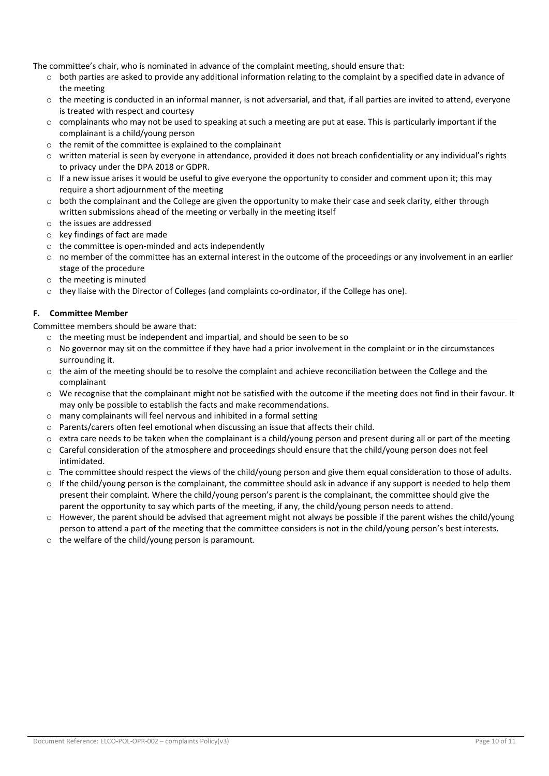The committee's chair, who is nominated in advance of the complaint meeting, should ensure that:

- $\circ$  both parties are asked to provide any additional information relating to the complaint by a specified date in advance of the meeting
- $\circ$  the meeting is conducted in an informal manner, is not adversarial, and that, if all parties are invited to attend, everyone is treated with respect and courtesy
- $\circ$  complainants who may not be used to speaking at such a meeting are put at ease. This is particularly important if the complainant is a child/young person
- o the remit of the committee is explained to the complainant
- o written material is seen by everyone in attendance, provided it does not breach confidentiality or any individual's rights to privacy under the DPA 2018 or GDPR.
- $\circ$  If a new issue arises it would be useful to give everyone the opportunity to consider and comment upon it; this may require a short adjournment of the meeting
- $\circ$  both the complainant and the College are given the opportunity to make their case and seek clarity, either through written submissions ahead of the meeting or verbally in the meeting itself
- o the issues are addressed
- o key findings of fact are made
- o the committee is open-minded and acts independently
- $\circ$  no member of the committee has an external interest in the outcome of the proceedings or any involvement in an earlier stage of the procedure
- o the meeting is minuted
- $\circ$  they liaise with the Director of Colleges (and complaints co-ordinator, if the College has one).

## **F. Committee Member**

Committee members should be aware that:

- o the meeting must be independent and impartial, and should be seen to be so
- $\circ$  No governor may sit on the committee if they have had a prior involvement in the complaint or in the circumstances surrounding it.
- $\circ$  the aim of the meeting should be to resolve the complaint and achieve reconciliation between the College and the complainant
- o We recognise that the complainant might not be satisfied with the outcome if the meeting does not find in their favour. It may only be possible to establish the facts and make recommendations.
- o many complainants will feel nervous and inhibited in a formal setting
- o Parents/carers often feel emotional when discussing an issue that affects their child.
- extra care needs to be taken when the complainant is a child/young person and present during all or part of the meeting
- $\circ$  Careful consideration of the atmosphere and proceedings should ensure that the child/young person does not feel intimidated.
- o The committee should respect the views of the child/young person and give them equal consideration to those of adults.
- $\circ$  If the child/young person is the complainant, the committee should ask in advance if any support is needed to help them present their complaint. Where the child/young person's parent is the complainant, the committee should give the parent the opportunity to say which parts of the meeting, if any, the child/young person needs to attend.
- $\circ$  However, the parent should be advised that agreement might not always be possible if the parent wishes the child/young person to attend a part of the meeting that the committee considers is not in the child/young person's best interests.
- o the welfare of the child/young person is paramount.